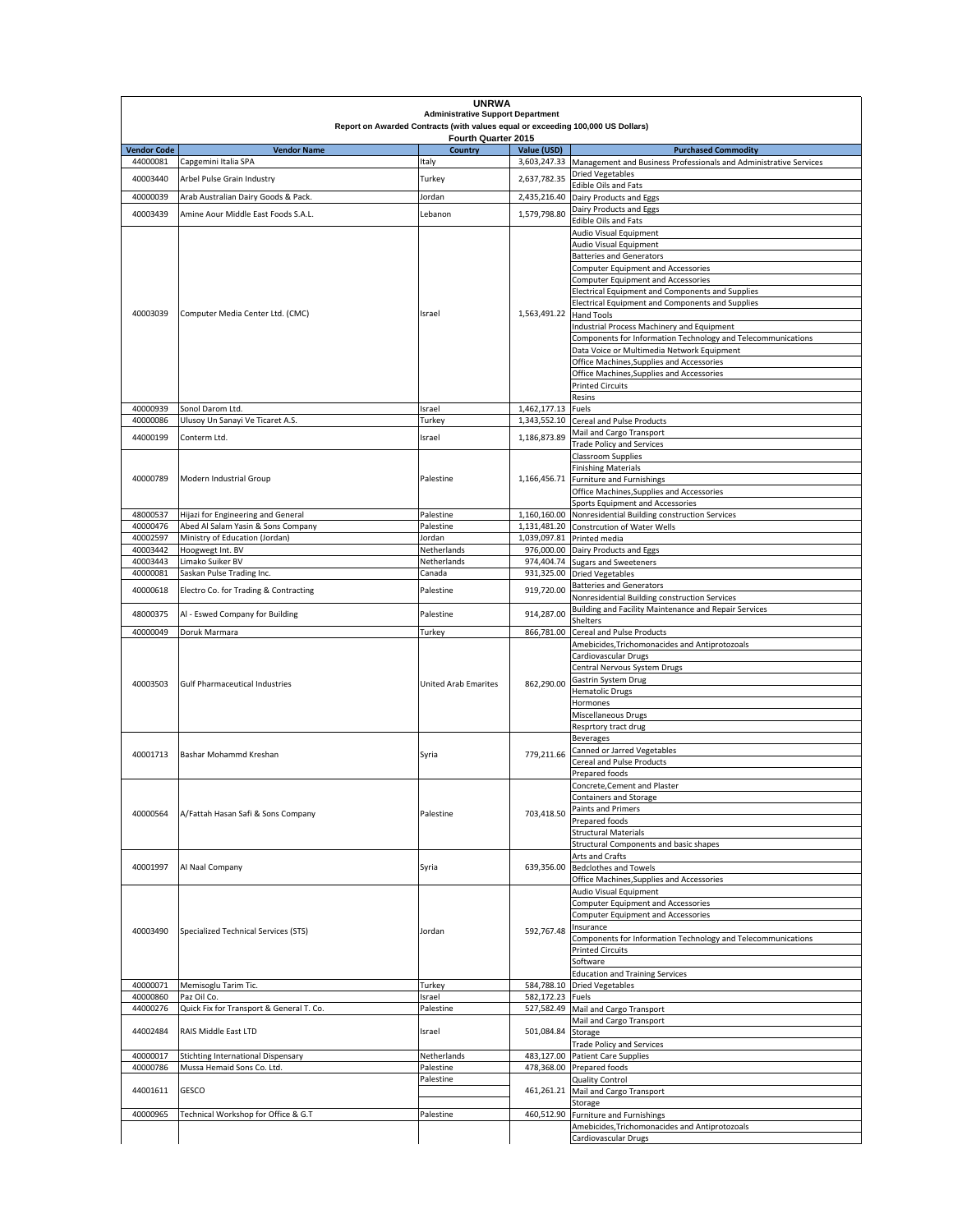|                                |                                            | <b>UNRWA</b><br><b>Administrative Support Department</b>                        |                                |                                                                                                              |
|--------------------------------|--------------------------------------------|---------------------------------------------------------------------------------|--------------------------------|--------------------------------------------------------------------------------------------------------------|
|                                |                                            | Report on Awarded Contracts (with values equal or exceeding 100,000 US Dollars) |                                |                                                                                                              |
|                                |                                            | Fourth Quarter 2015                                                             |                                |                                                                                                              |
| <b>Vendor Code</b><br>44000081 | <b>Vendor Name</b><br>Capgemini Italia SPA | Country<br>Italy                                                                | Value (USD)                    | <b>Purchased Commodity</b><br>3,603,247.33 Management and Business Professionals and Administrative Services |
| 40003440                       | Arbel Pulse Grain Industry                 | Turkey                                                                          | 2,637,782.35                   | <b>Dried Vegetables</b>                                                                                      |
|                                |                                            |                                                                                 |                                | <b>Edible Oils and Fats</b>                                                                                  |
| 40000039                       | Arab Australian Dairy Goods & Pack.        | Jordan                                                                          | 2,435,216.40                   | Dairy Products and Eggs                                                                                      |
| 40003439                       | Amine Aour Middle East Foods S.A.L.        | Lebanon                                                                         | 1,579,798.80                   | Dairy Products and Eggs<br><b>Edible Oils and Fats</b>                                                       |
|                                |                                            |                                                                                 |                                | Audio Visual Equipment                                                                                       |
|                                | Computer Media Center Ltd. (CMC)           |                                                                                 |                                | Audio Visual Equipment                                                                                       |
|                                |                                            |                                                                                 |                                | <b>Batteries and Generators</b>                                                                              |
|                                |                                            | Israel                                                                          |                                | <b>Computer Equipment and Accessories</b>                                                                    |
|                                |                                            |                                                                                 |                                | <b>Computer Equipment and Accessories</b><br>Electrical Equipment and Components and Supplies                |
|                                |                                            |                                                                                 |                                | Electrical Equipment and Components and Supplies                                                             |
| 40003039                       |                                            |                                                                                 | 1,563,491.22                   | <b>Hand Tools</b>                                                                                            |
|                                |                                            |                                                                                 |                                | Industrial Process Machinery and Equipment                                                                   |
|                                |                                            |                                                                                 |                                | Components for Information Technology and Telecommunications                                                 |
|                                |                                            |                                                                                 |                                | Data Voice or Multimedia Network Equipment<br>Office Machines, Supplies and Accessories                      |
|                                |                                            |                                                                                 |                                | Office Machines, Supplies and Accessories                                                                    |
|                                |                                            |                                                                                 |                                | <b>Printed Circuits</b>                                                                                      |
|                                |                                            |                                                                                 |                                | Resins                                                                                                       |
| 40000939                       | Sonol Darom Ltd.                           | Israel                                                                          | 1,462,177.13                   | Fuels                                                                                                        |
| 40000086                       | Ulusoy Un Sanayi Ve Ticaret A.S.           | Turkey                                                                          | 1,343,552.10                   | Cereal and Pulse Products<br>Mail and Cargo Transport                                                        |
| 44000199                       | Conterm Ltd.                               | Israel                                                                          | 1,186,873.89                   | <b>Trade Policy and Services</b>                                                                             |
|                                |                                            |                                                                                 |                                | <b>Classroom Supplies</b>                                                                                    |
|                                |                                            |                                                                                 |                                | <b>Finishing Materials</b>                                                                                   |
| 40000789                       | Modern Industrial Group                    | Palestine                                                                       |                                | 1,166,456.71 Furniture and Furnishings                                                                       |
|                                |                                            |                                                                                 |                                | Office Machines, Supplies and Accessories<br>Sports Equipment and Accessories                                |
| 48000537                       | Hijazi for Engineering and General         | Palestine                                                                       |                                | 1,160,160.00 Nonresidential Building construction Services                                                   |
| 40000476                       | Abed Al Salam Yasin & Sons Company         | Palestine                                                                       |                                | 1,131,481.20 Constrcution of Water Wells                                                                     |
| 40002597                       | Ministry of Education (Jordan)             | Jordan                                                                          |                                | 1,039,097.81 Printed media                                                                                   |
| 40003442                       | Hoogwegt Int. BV                           | Netherlands                                                                     | 976,000.00                     | Dairy Products and Eggs                                                                                      |
| 40003443<br>40000081           | Limako Suiker BV                           | Netherlands<br>Canada                                                           | 974,404.74                     | <b>Sugars and Sweeteners</b>                                                                                 |
|                                | Saskan Pulse Trading Inc.                  |                                                                                 |                                | 931,325.00 Dried Vegetables<br><b>Batteries and Generators</b>                                               |
| 40000618                       | Electro Co. for Trading & Contracting      | Palestine                                                                       | 919,720.00                     | Nonresidential Building construction Services                                                                |
| 48000375                       | Al - Eswed Company for Building            | Palestine                                                                       | 914,287.00                     | Building and Facility Maintenance and Repair Services                                                        |
|                                |                                            |                                                                                 |                                | Shelters                                                                                                     |
| 40000049                       | Doruk Marmara                              | Turkey                                                                          | 866,781.00                     | Cereal and Pulse Products                                                                                    |
|                                |                                            |                                                                                 |                                | Amebicides, Trichomonacides and Antiprotozoals<br>Cardiovascular Drugs                                       |
|                                | <b>Gulf Pharmaceutical Industries</b>      |                                                                                 |                                | Central Nervous System Drugs                                                                                 |
| 40003503                       |                                            | <b>United Arab Emarites</b>                                                     | 862,290.00                     | Gastrin System Drug                                                                                          |
|                                |                                            |                                                                                 |                                | <b>Hematolic Drugs</b>                                                                                       |
|                                |                                            |                                                                                 |                                | Hormones                                                                                                     |
|                                |                                            |                                                                                 |                                | Miscellaneous Drugs<br>Resprtory tract drug                                                                  |
|                                |                                            |                                                                                 |                                | <b>Beverages</b>                                                                                             |
| 40001713                       | Bashar Mohammd Kreshan                     | Syria                                                                           | 779,211.66                     | Canned or Jarred Vegetables                                                                                  |
|                                |                                            |                                                                                 |                                | <b>Cereal and Pulse Products</b>                                                                             |
|                                |                                            |                                                                                 |                                | Prepared foods                                                                                               |
|                                |                                            |                                                                                 |                                | Concrete, Cement and Plaster<br><b>Containers and Storage</b>                                                |
|                                |                                            | Palestine                                                                       | 703,418.50                     | Paints and Primers                                                                                           |
| 40000564                       | A/Fattah Hasan Safi & Sons Company         |                                                                                 |                                | Prepared foods                                                                                               |
|                                |                                            |                                                                                 |                                | <b>Structural Materials</b>                                                                                  |
|                                |                                            |                                                                                 |                                | Structural Components and basic shapes                                                                       |
| 40001997                       | Al Naal Company                            | Syria                                                                           | 639,356.00                     | Arts and Crafts<br><b>Bedclothes and Towels</b>                                                              |
|                                |                                            |                                                                                 |                                | Office Machines, Supplies and Accessories                                                                    |
|                                |                                            |                                                                                 |                                | Audio Visual Equipment                                                                                       |
|                                |                                            |                                                                                 |                                | <b>Computer Equipment and Accessories</b>                                                                    |
|                                |                                            |                                                                                 |                                | <b>Computer Equipment and Accessories</b>                                                                    |
| 40003490                       | Specialized Technical Services (STS)       | Jordan                                                                          | 592,767.48                     | Insurance<br>Components for Information Technology and Telecommunications                                    |
|                                |                                            |                                                                                 |                                | <b>Printed Circuits</b>                                                                                      |
|                                |                                            |                                                                                 |                                | Software                                                                                                     |
|                                |                                            |                                                                                 |                                | <b>Education and Training Services</b>                                                                       |
| 40000071<br>40000860           | Memisoglu Tarim Tic.<br>Paz Oil Co.        | Turkey                                                                          | 584,788.10<br>582,172.23 Fuels | <b>Dried Vegetables</b>                                                                                      |
| 44000276                       | Quick Fix for Transport & General T. Co.   | Israel<br>Palestine                                                             |                                | 527,582.49 Mail and Cargo Transport                                                                          |
|                                |                                            | Israel                                                                          | 501,084.84                     | Mail and Cargo Transport                                                                                     |
| 44002484                       | RAIS Middle East LTD                       |                                                                                 |                                | Storage                                                                                                      |
|                                |                                            |                                                                                 |                                | <b>Trade Policy and Services</b>                                                                             |
| 40000017                       | Stichting International Dispensary         | Netherlands                                                                     | 483,127.00                     | <b>Patient Care Supplies</b>                                                                                 |
| 40000786                       | Mussa Hemaid Sons Co. Ltd.                 | Palestine<br>Palestine                                                          |                                | 478,368.00 Prepared foods<br><b>Quality Control</b>                                                          |
| 44001611                       | <b>GESCO</b>                               |                                                                                 | 461,261.21                     | Mail and Cargo Transport                                                                                     |
|                                |                                            |                                                                                 |                                | Storage                                                                                                      |
| 40000965                       | Technical Workshop for Office & G.T        | Palestine                                                                       | 460,512.90                     | Furniture and Furnishings                                                                                    |
|                                |                                            |                                                                                 |                                | Amebicides, Trichomonacides and Antiprotozoals                                                               |
|                                |                                            |                                                                                 |                                | Cardiovascular Drugs                                                                                         |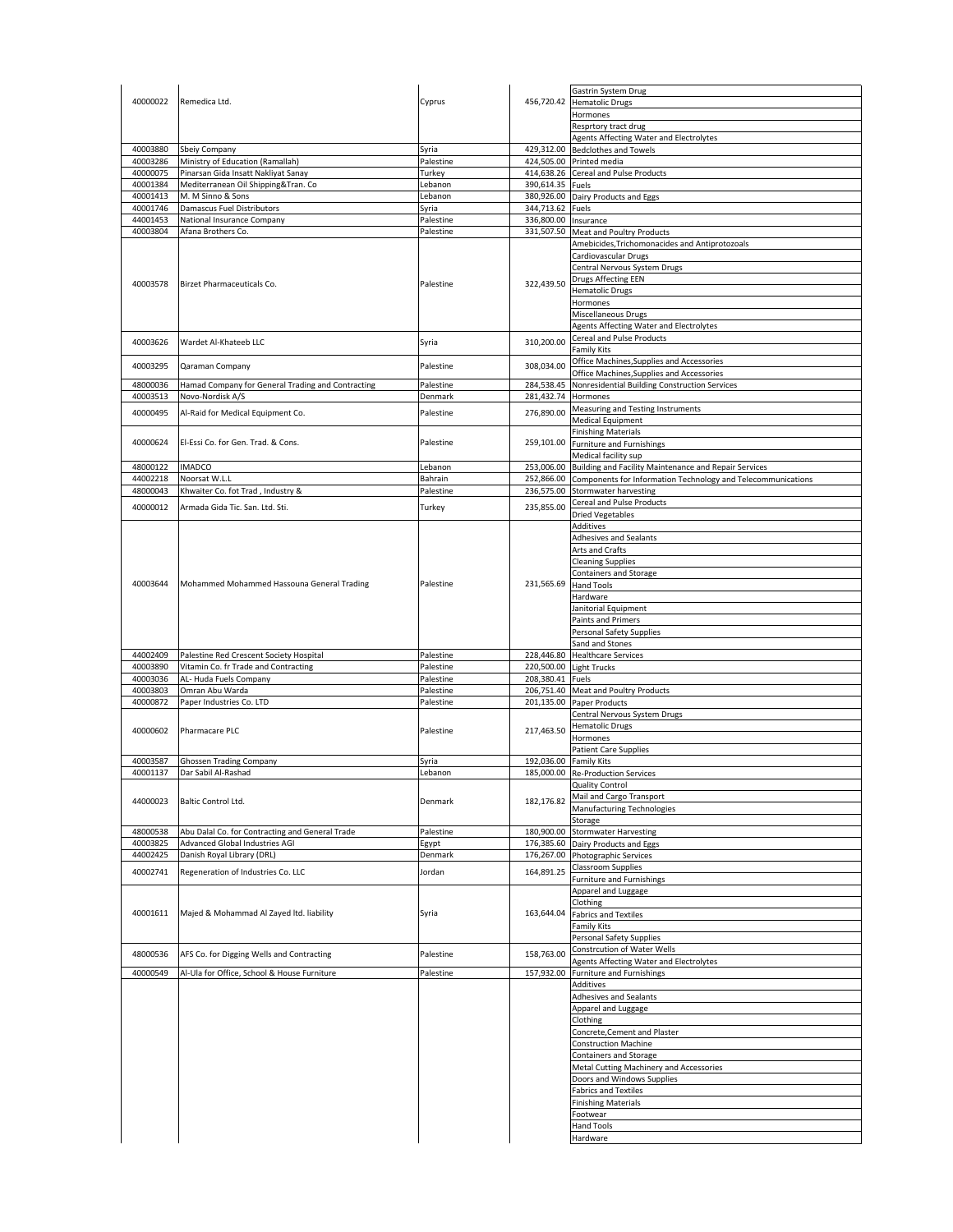|          |                                                   |           |                        | Gastrin System Drug                                                     |
|----------|---------------------------------------------------|-----------|------------------------|-------------------------------------------------------------------------|
| 40000022 | Remedica Ltd.                                     | Cyprus    |                        | 456,720.42 Hematolic Drugs                                              |
|          |                                                   |           |                        | Hormones                                                                |
|          |                                                   |           |                        |                                                                         |
|          |                                                   |           |                        | Resprtory tract drug                                                    |
|          |                                                   |           |                        | Agents Affecting Water and Electrolytes                                 |
| 40003880 | Sbeiy Company                                     | Syria     |                        | 429,312.00 Bedclothes and Towels                                        |
| 40003286 | Ministry of Education (Ramallah)                  | Palestine |                        | 424,505.00 Printed media                                                |
| 40000075 | Pinarsan Gida Insatt Nakliyat Sanay               | Turkey    |                        | 414,638.26 Cereal and Pulse Products                                    |
| 40001384 | Mediterranean Oil Shipping&Tran. Co               | Lebanon   | 390,614.35 Fuels       |                                                                         |
| 40001413 | M. M Sinno & Sons                                 | Lebanon   |                        | 380,926.00 Dairy Products and Eggs                                      |
| 40001746 | Damascus Fuel Distributors                        | Syria     | 344,713.62 Fuels       |                                                                         |
|          |                                                   |           |                        |                                                                         |
| 44001453 | National Insurance Company                        | Palestine | 336,800.00 Insurance   |                                                                         |
| 40003804 | Afana Brothers Co.                                | Palestine |                        | 331,507.50 Meat and Poultry Products                                    |
|          |                                                   |           |                        | Amebicides, Trichomonacides and Antiprotozoals                          |
|          |                                                   |           |                        | Cardiovascular Drugs                                                    |
|          |                                                   |           |                        | Central Nervous System Drugs                                            |
|          |                                                   |           |                        | Drugs Affecting EEN                                                     |
| 40003578 | Birzet Pharmaceuticals Co.                        | Palestine | 322,439.50             | <b>Hematolic Drugs</b>                                                  |
|          |                                                   |           |                        |                                                                         |
|          |                                                   |           |                        | Hormones                                                                |
|          |                                                   |           |                        | Miscellaneous Drugs                                                     |
|          |                                                   |           |                        | Agents Affecting Water and Electrolytes                                 |
| 40003626 | Wardet Al-Khateeb LLC                             | Syria     | 310,200.00             | Cereal and Pulse Products                                               |
|          |                                                   |           |                        | <b>Family Kits</b>                                                      |
|          |                                                   |           |                        | Office Machines, Supplies and Accessories                               |
| 40003295 | Qaraman Company                                   | Palestine | 308,034.00             | Office Machines, Supplies and Accessories                               |
|          |                                                   |           |                        |                                                                         |
| 48000036 | Hamad Company for General Trading and Contracting | Palestine | 284,538.45             | Nonresidential Building Construction Services                           |
| 40003513 | Novo-Nordisk A/S                                  | Denmark   | 281,432.74 Hormones    |                                                                         |
| 40000495 | Al-Raid for Medical Equipment Co.                 | Palestine | 276,890.00             | Measuring and Testing Instruments                                       |
|          |                                                   |           |                        | <b>Medical Equipment</b>                                                |
|          |                                                   |           |                        | <b>Finishing Materials</b>                                              |
| 40000624 | El-Essi Co. for Gen. Trad. & Cons.                | Palestine |                        |                                                                         |
|          |                                                   |           |                        | 259,101.00 Furniture and Furnishings                                    |
|          |                                                   |           |                        | Medical facility sup                                                    |
| 48000122 | <b>IMADCO</b>                                     | Lebanon   |                        | 253,006.00 Building and Facility Maintenance and Repair Services        |
| 44002218 | Noorsat W.L.L                                     | Bahrain   |                        | 252,866.00 Components for Information Technology and Telecommunications |
| 48000043 | Khwaiter Co. fot Trad, Industry &                 | Palestine | 236,575.00             | Stormwater harvesting                                                   |
|          |                                                   |           |                        | Cereal and Pulse Products                                               |
| 40000012 | Armada Gida Tic. San. Ltd. Sti.                   | Turkey    | 235,855.00             |                                                                         |
|          |                                                   |           |                        | <b>Dried Vegetables</b>                                                 |
|          |                                                   |           |                        | <b>Additives</b>                                                        |
|          |                                                   |           |                        | Adhesives and Sealants                                                  |
|          |                                                   |           |                        | Arts and Crafts                                                         |
|          |                                                   |           |                        | <b>Cleaning Supplies</b>                                                |
|          |                                                   |           |                        |                                                                         |
|          |                                                   |           |                        | Containers and Storage                                                  |
| 40003644 | Mohammed Mohammed Hassouna General Trading        | Palestine | 231,565.69             | <b>Hand Tools</b>                                                       |
|          |                                                   |           |                        | Hardware                                                                |
|          |                                                   |           |                        | Janitorial Equipment                                                    |
|          |                                                   |           |                        | Paints and Primers                                                      |
|          |                                                   |           |                        |                                                                         |
|          |                                                   |           |                        |                                                                         |
|          |                                                   |           |                        | Personal Safety Supplies                                                |
|          |                                                   |           |                        | Sand and Stones                                                         |
| 44002409 | Palestine Red Crescent Society Hospital           | Palestine |                        | 228,446.80 Healthcare Services                                          |
| 40003890 | Vitamin Co. fr Trade and Contracting              | Palestine |                        | 220,500.00 Light Trucks                                                 |
|          |                                                   |           |                        |                                                                         |
| 40003036 | AL- Huda Fuels Company                            | Palestine | 208,380.41 Fuels       |                                                                         |
| 40003803 | Omran Abu Warda                                   | Palestine |                        | 206,751.40 Meat and Poultry Products                                    |
| 40000872 | Paper Industries Co. LTD                          | Palestine |                        | 201,135.00 Paper Products                                               |
|          |                                                   |           |                        | Central Nervous System Drugs                                            |
|          |                                                   |           |                        | <b>Hematolic Drugs</b>                                                  |
| 40000602 | Pharmacare PLC                                    | Palestine | 217,463.50             | Hormones                                                                |
|          |                                                   |           |                        |                                                                         |
|          |                                                   |           |                        | Patient Care Supplies                                                   |
| 40003587 | <b>Ghossen Trading Company</b>                    | Syria     | 192,036.00 Family Kits |                                                                         |
| 40001137 | Dar Sabil Al-Rashad                               | Lebanon   |                        | 185,000.00 Re-Production Services                                       |
|          |                                                   |           |                        | <b>Quality Control</b>                                                  |
|          |                                                   |           |                        | Mail and Cargo Transport                                                |
| 44000023 | Baltic Control Ltd.                               | Denmark   | 182,176.82             | Manufacturing Technologies                                              |
|          |                                                   |           |                        |                                                                         |
|          |                                                   |           |                        | Storage                                                                 |
| 48000538 | Abu Dalal Co. for Contracting and General Trade   | Palestine | 180,900.00             | <b>Stormwater Harvesting</b>                                            |
| 40003825 | Advanced Global Industries AGI                    | Egypt     |                        | 176,385.60 Dairy Products and Eggs                                      |
| 44002425 | Danish Royal Library (DRL)                        | Denmark   |                        | 176,267.00 Photographic Services                                        |
|          |                                                   |           |                        | <b>Classroom Supplies</b>                                               |
| 40002741 | Regeneration of Industries Co. LLC                | Jordan    | 164,891.25             | <b>Furniture and Furnishings</b>                                        |
|          |                                                   |           |                        |                                                                         |
|          |                                                   |           |                        | Apparel and Luggage                                                     |
|          |                                                   |           |                        | Clothing                                                                |
| 40001611 | Majed & Mohammad Al Zayed Itd. liability          | Syria     | 163,644.04             | <b>Fabrics and Textiles</b>                                             |
|          |                                                   |           |                        | <b>Family Kits</b>                                                      |
|          |                                                   |           |                        | Personal Safety Supplies                                                |
|          |                                                   |           |                        | Constrcution of Water Wells                                             |
| 48000536 | AFS Co. for Digging Wells and Contracting         | Palestine | 158,763.00             |                                                                         |
|          |                                                   |           |                        | Agents Affecting Water and Electrolytes                                 |
| 40000549 | Al-Ula for Office, School & House Furniture       | Palestine | 157,932.00             | <b>Furniture and Furnishings</b>                                        |
|          |                                                   |           |                        | <b>Additives</b>                                                        |
|          |                                                   |           |                        | Adhesives and Sealants                                                  |
|          |                                                   |           |                        | Apparel and Luggage                                                     |
|          |                                                   |           |                        |                                                                         |
|          |                                                   |           |                        | Clothing                                                                |
|          |                                                   |           |                        | Concrete, Cement and Plaster                                            |
|          |                                                   |           |                        | Construction Machine                                                    |
|          |                                                   |           |                        | Containers and Storage                                                  |
|          |                                                   |           |                        | Metal Cutting Machinery and Accessories                                 |
|          |                                                   |           |                        | Doors and Windows Supplies                                              |
|          |                                                   |           |                        |                                                                         |
|          |                                                   |           |                        | <b>Fabrics and Textiles</b>                                             |
|          |                                                   |           |                        | <b>Finishing Materials</b>                                              |
|          |                                                   |           |                        | Footwear                                                                |
|          |                                                   |           |                        | <b>Hand Tools</b><br>Hardware                                           |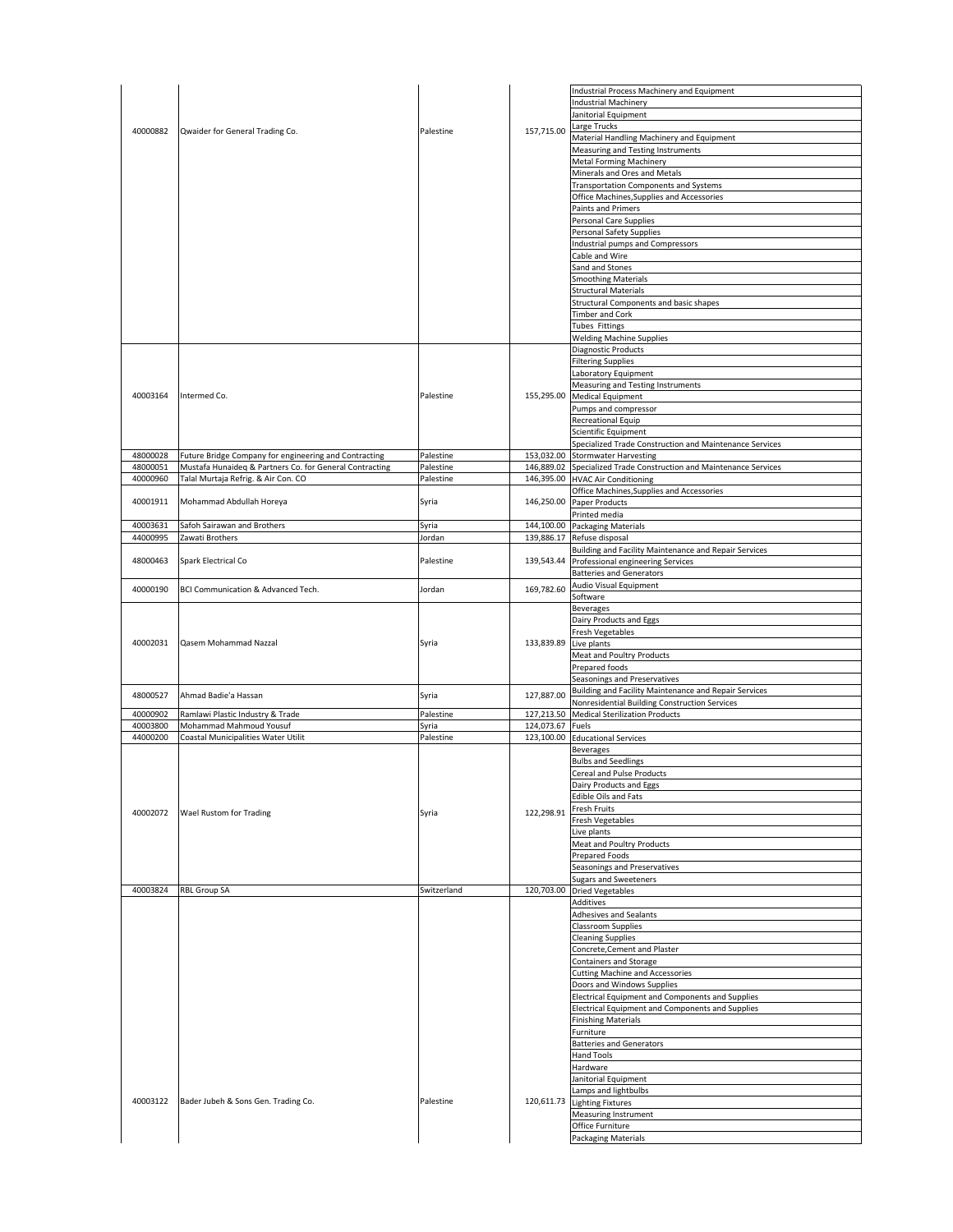|          |                                                         |             |                  | Industrial Process Machinery and Equipment                                            |
|----------|---------------------------------------------------------|-------------|------------------|---------------------------------------------------------------------------------------|
|          |                                                         |             |                  | <b>Industrial Machinery</b>                                                           |
|          |                                                         |             |                  | Janitorial Equipment                                                                  |
| 40000882 | Qwaider for General Trading Co.                         | Palestine   | 157,715.00       | Large Trucks                                                                          |
|          |                                                         |             |                  | Material Handling Machinery and Equipment                                             |
|          |                                                         |             |                  | Measuring and Testing Instruments<br>Metal Forming Machinery                          |
|          |                                                         |             |                  | Minerals and Ores and Metals                                                          |
|          |                                                         |             |                  | Transportation Components and Systems                                                 |
|          |                                                         |             |                  | Office Machines, Supplies and Accessories                                             |
|          |                                                         |             |                  | Paints and Primers                                                                    |
|          |                                                         |             |                  | Personal Care Supplies                                                                |
|          |                                                         |             |                  | Personal Safety Supplies                                                              |
|          |                                                         |             |                  | Industrial pumps and Compressors                                                      |
|          |                                                         |             |                  | Cable and Wire                                                                        |
|          |                                                         |             |                  | Sand and Stones                                                                       |
|          |                                                         |             |                  | <b>Smoothing Materials</b>                                                            |
|          |                                                         |             |                  | <b>Structural Materials</b>                                                           |
|          |                                                         |             |                  | Structural Components and basic shapes                                                |
|          |                                                         |             |                  | <b>Timber and Cork</b><br>Tubes Fittings                                              |
|          |                                                         |             |                  | <b>Welding Machine Supplies</b>                                                       |
|          |                                                         |             |                  | Diagnostic Products                                                                   |
|          |                                                         |             |                  | <b>Filtering Supplies</b>                                                             |
|          |                                                         |             |                  | Laboratory Equipment                                                                  |
|          |                                                         |             |                  | Measuring and Testing Instruments                                                     |
| 40003164 | Intermed Co.                                            | Palestine   |                  | 155,295.00 Medical Equipment                                                          |
|          |                                                         |             |                  | Pumps and compressor                                                                  |
|          |                                                         |             |                  | Recreational Equip                                                                    |
|          |                                                         |             |                  | Scientific Equipment                                                                  |
|          |                                                         |             |                  | Specialized Trade Construction and Maintenance Services                               |
| 48000028 | Future Bridge Company for engineering and Contracting   | Palestine   |                  | 153,032.00 Stormwater Harvesting                                                      |
| 48000051 | Mustafa Hunaideq & Partners Co. for General Contracting | Palestine   |                  | 146,889.02 Specialized Trade Construction and Maintenance Services                    |
| 40000960 | Talal Murtaja Refrig. & Air Con. CO                     | Palestine   |                  | 146,395.00 HVAC Air Conditioning                                                      |
| 40001911 | Mohammad Abdullah Horeya                                | Syria       |                  | Office Machines, Supplies and Accessories<br>146,250.00 Paper Products                |
|          |                                                         |             |                  | Printed media                                                                         |
| 40003631 | Safoh Sairawan and Brothers                             | Syria       |                  | 144,100.00 Packaging Materials                                                        |
| 44000995 | Zawati Brothers                                         | Jordan      |                  | 139,886.17 Refuse disposal                                                            |
|          |                                                         |             |                  | Building and Facility Maintenance and Repair Services                                 |
| 48000463 | Spark Electrical Co                                     | Palestine   |                  | 139,543.44 Professional engineering Services                                          |
|          |                                                         |             |                  | <b>Batteries and Generators</b>                                                       |
| 40000190 | BCI Communication & Advanced Tech.                      | Jordan      | 169,782.60       | Audio Visual Equipment                                                                |
|          |                                                         |             |                  | Software                                                                              |
|          |                                                         |             |                  | <b>Beverages</b>                                                                      |
|          |                                                         |             |                  | Dairy Products and Eggs                                                               |
|          |                                                         |             |                  | Fresh Vegetables                                                                      |
| 40002031 | Qasem Mohammad Nazzal                                   | Syria       | 133,839.89       | Live plants                                                                           |
|          |                                                         |             |                  | Meat and Poultry Products                                                             |
|          |                                                         |             |                  | Prepared foods                                                                        |
|          |                                                         |             |                  | Seasonings and Preservatives<br>Building and Facility Maintenance and Repair Services |
| 48000527 | Ahmad Badie'a Hassan                                    | Syria       | 127,887.00       | Nonresidential Building Construction Services                                         |
| 40000902 | Ramlawi Plastic Industry & Trade                        | Palestine   |                  | 127,213.50 Medical Sterilization Products                                             |
| 40003800 | Mohammad Mahmoud Yousuf                                 | Syria       | 124,073.67 Fuels |                                                                                       |
| 44000200 | Coastal Municipalities Water Utilit                     | Palestine   |                  | 123,100.00 Educational Services                                                       |
|          |                                                         |             |                  | <b>Beverages</b>                                                                      |
|          |                                                         |             |                  | <b>Bulbs and Seedlings</b>                                                            |
|          |                                                         |             |                  | Cereal and Pulse Products                                                             |
|          |                                                         |             |                  | Dairy Products and Eggs                                                               |
|          |                                                         |             |                  | <b>Edible Oils and Fats</b>                                                           |
| 40002072 | Wael Rustom for Trading                                 | Syria       | 122,298.91       | Fresh Fruits                                                                          |
|          |                                                         |             |                  |                                                                                       |
|          |                                                         |             |                  | Fresh Vegetables                                                                      |
|          |                                                         |             |                  | Live plants                                                                           |
|          |                                                         |             |                  | Meat and Poultry Products                                                             |
|          |                                                         |             |                  | Prepared Foods                                                                        |
|          |                                                         |             |                  | Seasonings and Preservatives<br>Sugars and Sweeteners                                 |
| 40003824 | <b>RBL Group SA</b>                                     | Switzerland | 120,703.00       | <b>Dried Vegetables</b>                                                               |
|          |                                                         |             |                  | Additives                                                                             |
|          |                                                         |             |                  | Adhesives and Sealants                                                                |
|          |                                                         |             |                  | <b>Classroom Supplies</b>                                                             |
|          |                                                         |             |                  | <b>Cleaning Supplies</b>                                                              |
|          |                                                         |             |                  | Concrete, Cement and Plaster                                                          |
|          |                                                         |             |                  | Containers and Storage                                                                |
|          |                                                         |             |                  | <b>Cutting Machine and Accessories</b>                                                |
|          |                                                         |             |                  | Doors and Windows Supplies                                                            |
|          |                                                         |             |                  | Electrical Equipment and Components and Supplies                                      |
|          |                                                         |             |                  | Electrical Equipment and Components and Supplies                                      |
|          |                                                         |             |                  | <b>Finishing Materials</b><br>Furniture                                               |
|          |                                                         |             |                  | <b>Batteries and Generators</b>                                                       |
|          |                                                         |             |                  | Hand Tools                                                                            |
|          |                                                         |             |                  | Hardware                                                                              |
|          |                                                         |             |                  | Janitorial Equipment                                                                  |
|          |                                                         |             |                  | Lamps and lightbulbs                                                                  |
| 40003122 | Bader Jubeh & Sons Gen. Trading Co.                     | Palestine   | 120,611.73       | <b>Lighting Fixtures</b>                                                              |
|          |                                                         |             |                  | Measuring Instrument                                                                  |
|          |                                                         |             |                  | Office Furniture<br><b>Packaging Materials</b>                                        |